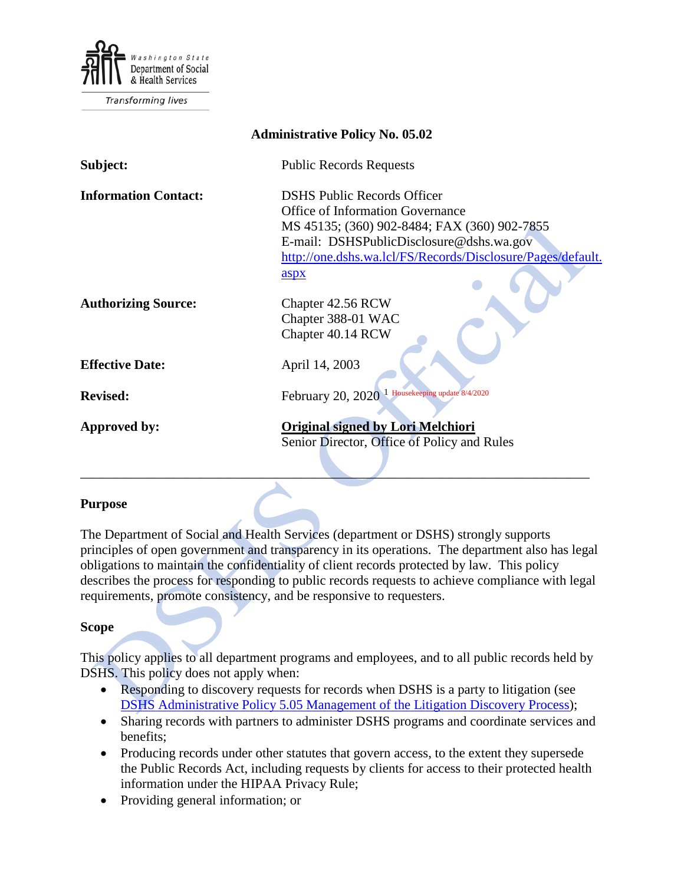

**Transforming lives** 

| <b>Administrative Policy No. 05.02</b> |                                                             |
|----------------------------------------|-------------------------------------------------------------|
| Subject:                               | <b>Public Records Requests</b>                              |
| <b>Information Contact:</b>            | <b>DSHS Public Records Officer</b>                          |
|                                        | Office of Information Governance                            |
|                                        | MS 45135; (360) 902-8484; FAX (360) 902-7855                |
|                                        | E-mail: DSHSPublicDisclosure@dshs.wa.gov                    |
|                                        | http://one.dshs.wa.lcl/FS/Records/Disclosure/Pages/default. |
|                                        | aspx                                                        |
| <b>Authorizing Source:</b>             | Chapter 42.56 RCW                                           |
|                                        | Chapter 388-01 WAC                                          |
|                                        | Chapter 40.14 RCW                                           |
| <b>Effective Date:</b>                 | April 14, 2003                                              |
| <b>Revised:</b>                        | February 20, 2020 <sup>1</sup> Housekeeping update 8/4/2020 |
|                                        |                                                             |
| Approved by:                           | <b>Original signed by Lori Melchiori</b>                    |
|                                        | Senior Director, Office of Policy and Rules                 |
|                                        |                                                             |

#### **Purpose**

The Department of Social and Health Services (department or DSHS) strongly supports principles of open government and transparency in its operations. The department also has legal obligations to maintain the confidentiality of client records protected by law. This policy describes the process for responding to public records requests to achieve compliance with legal requirements, promote consistency, and be responsive to requesters.

#### **Scope**

This policy applies to all department programs and employees, and to all public records held by DSHS. This policy does not apply when:

- Responding to discovery requests for records when DSHS is a party to litigation (see DSHS Administrative Policy 5.05 [Management of the Litigation Discovery Process\)](http://one.dshs.wa.lcl/Policies/Administrative/DSHS-AP-05-05.pdf);
- Sharing records with partners to administer DSHS programs and coordinate services and benefits;
- Producing records under other statutes that govern access, to the extent they supersede the Public Records Act, including requests by clients for access to their protected health information under the HIPAA Privacy Rule;
- Providing general information; or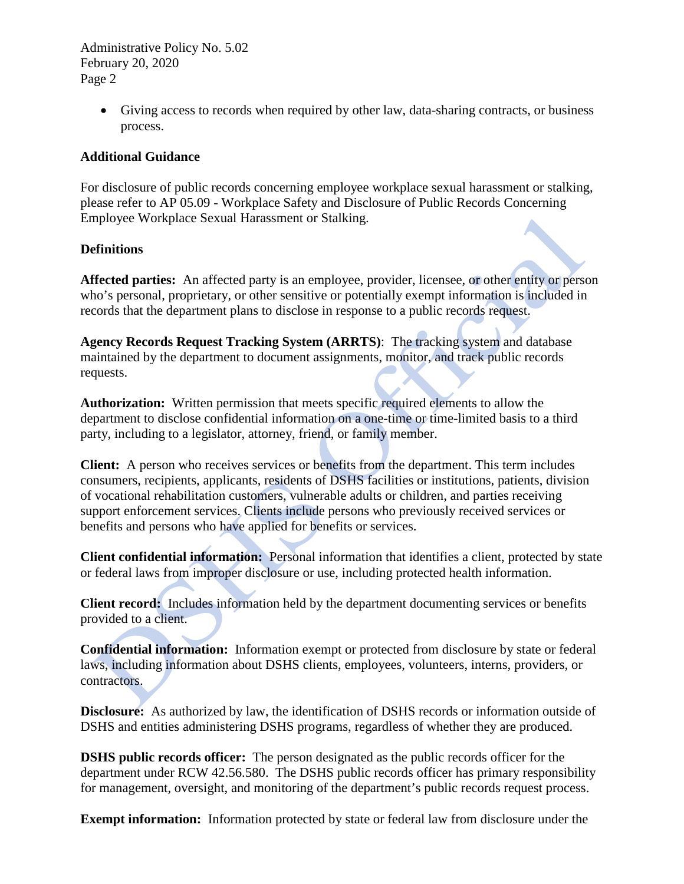> • Giving access to records when required by other law, data-sharing contracts, or business process.

## **Additional Guidance**

For disclosure of public records concerning employee workplace sexual harassment or stalking, please refer to AP 05.09 - Workplace Safety and Disclosure of Public Records Concerning Employee Workplace Sexual Harassment or Stalking.

## **Definitions**

**Affected parties:** An affected party is an employee, provider, licensee, or other entity or person who's personal, proprietary, or other sensitive or potentially exempt information is included in records that the department plans to disclose in response to a public records request.

**Agency Records Request Tracking System (ARRTS)**: The tracking system and database maintained by the department to document assignments, monitor, and track public records requests.

**Authorization:** Written permission that meets specific required elements to allow the department to disclose confidential information on a one-time or time-limited basis to a third party, including to a legislator, attorney, friend, or family member.

**Client:** A person who receives services or benefits from the department. This term includes consumers, recipients, applicants, residents of DSHS facilities or institutions, patients, division of vocational rehabilitation customers, vulnerable adults or children, and parties receiving support enforcement services. Clients include persons who previously received services or benefits and persons who have applied for benefits or services.

**Client confidential information:** Personal information that identifies a client, protected by state or federal laws from improper disclosure or use, including protected health information.

**Client record:** Includes information held by the department documenting services or benefits provided to a client.

**Confidential information:** Information exempt or protected from disclosure by state or federal laws, including information about DSHS clients, employees, volunteers, interns, providers, or contractors.

**Disclosure:** As authorized by law, the identification of DSHS records or information outside of DSHS and entities administering DSHS programs, regardless of whether they are produced.

**DSHS public records officer:** The person designated as the public records officer for the department under RCW 42.56.580. The DSHS public records officer has primary responsibility for management, oversight, and monitoring of the department's public records request process.

**Exempt information:** Information protected by state or federal law from disclosure under the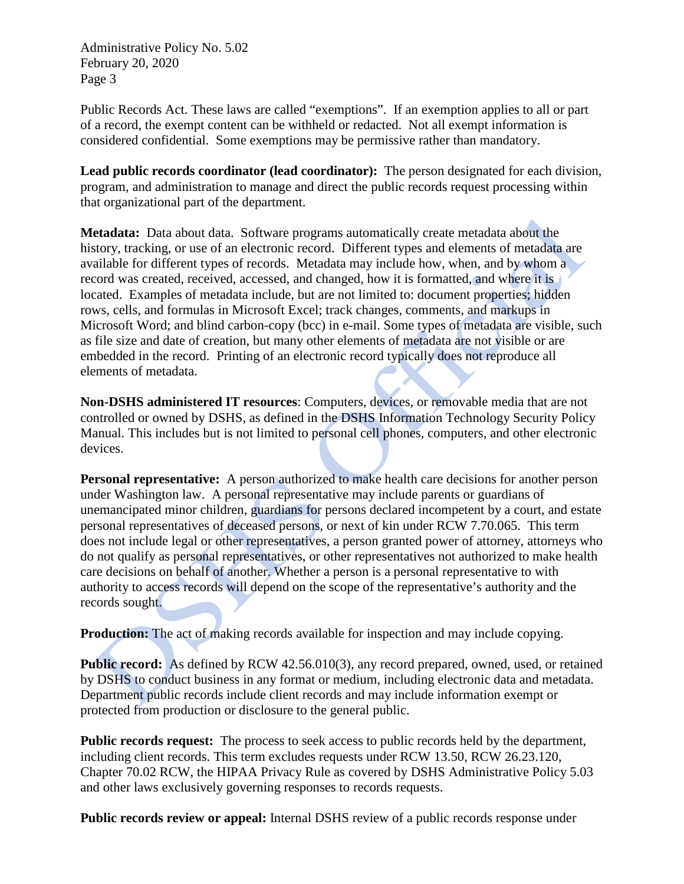Public Records Act. These laws are called "exemptions". If an exemption applies to all or part of a record, the exempt content can be withheld or redacted. Not all exempt information is considered confidential. Some exemptions may be permissive rather than mandatory.

**Lead public records coordinator (lead coordinator):** The person designated for each division, program, and administration to manage and direct the public records request processing within that organizational part of the department.

**Metadata:** Data about data. Software programs automatically create metadata about the history, tracking, or use of an electronic record. Different types and elements of metadata are available for different types of records. Metadata may include how, when, and by whom a record was created, received, accessed, and changed, how it is formatted, and where it is located. Examples of metadata include, but are not limited to: document properties; hidden rows, cells, and formulas in Microsoft Excel; track changes, comments, and markups in Microsoft Word; and blind carbon-copy (bcc) in e-mail. Some types of metadata are visible, such as file size and date of creation, but many other elements of metadata are not visible or are embedded in the record. Printing of an electronic record typically does not reproduce all elements of metadata.

**Non-DSHS administered IT resources**: Computers, devices, or removable media that are not controlled or owned by DSHS, as defined in the DSHS Information Technology Security Policy Manual. This includes but is not limited to personal cell phones, computers, and other electronic devices.

**Personal representative:** A person authorized to make health care decisions for another person under Washington law. A personal representative may include parents or guardians of unemancipated minor children, guardians for persons declared incompetent by a court, and estate personal representatives of deceased persons, or next of kin under RCW 7.70.065. This term does not include legal or other representatives, a person granted power of attorney, attorneys who do not qualify as personal representatives, or other representatives not authorized to make health care decisions on behalf of another. Whether a person is a personal representative to with authority to access records will depend on the scope of the representative's authority and the records sought.

**Production:** The act of making records available for inspection and may include copying.

**Public record:** As defined by RCW 42.56.010(3), any record prepared, owned, used, or retained by DSHS to conduct business in any format or medium, including electronic data and metadata. Department public records include client records and may include information exempt or protected from production or disclosure to the general public.

**Public records request:** The process to seek access to public records held by the department, including client records. This term excludes requests under RCW 13.50, RCW 26.23.120, Chapter 70.02 RCW, the HIPAA Privacy Rule as covered by DSHS Administrative Policy 5.03 and other laws exclusively governing responses to records requests.

**Public records review or appeal:** Internal DSHS review of a public records response under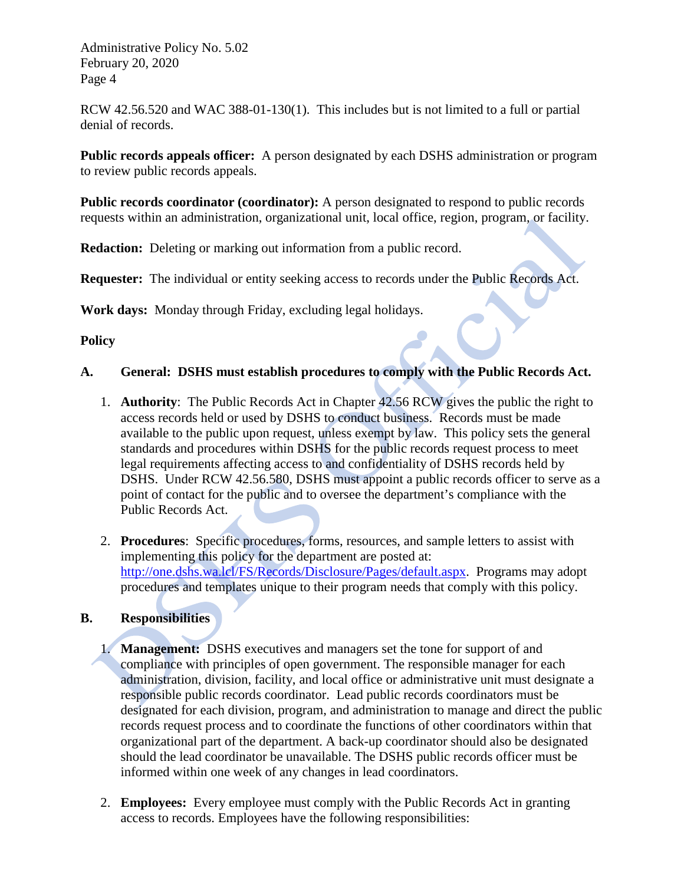RCW 42.56.520 and WAC 388-01-130(1). This includes but is not limited to a full or partial denial of records.

**Public records appeals officer:** A person designated by each DSHS administration or program to review public records appeals.

**Public records coordinator (coordinator):** A person designated to respond to public records requests within an administration, organizational unit, local office, region, program, or facility.

**Redaction:** Deleting or marking out information from a public record.

**Requester:** The individual or entity seeking access to records under the Public Records Act.

**Work days:** Monday through Friday, excluding legal holidays.

### **Policy**

### **A. General: DSHS must establish procedures to comply with the Public Records Act.**

- 1. **Authority**: The Public Records Act in Chapter 42.56 RCW gives the public the right to access records held or used by DSHS to conduct business. Records must be made available to the public upon request, unless exempt by law. This policy sets the general standards and procedures within DSHS for the public records request process to meet legal requirements affecting access to and confidentiality of DSHS records held by DSHS. Under RCW 42.56.580, DSHS must appoint a public records officer to serve as a point of contact for the public and to oversee the department's compliance with the Public Records Act.
- 2. **Procedures**: Specific procedures, forms, resources, and sample letters to assist with implementing this policy for the department are posted at: [http://one.dshs.wa.lcl/FS/Records/Disclosure/Pages/default.aspx.](http://one.dshs.wa.lcl/FS/Records/Disclosure/Pages/default.aspx) Programs may adopt procedures and templates unique to their program needs that comply with this policy.

### **B. Responsibilities**

- 1. **Management:** DSHS executives and managers set the tone for support of and compliance with principles of open government. The responsible manager for each administration, division, facility, and local office or administrative unit must designate a responsible public records coordinator. Lead public records coordinators must be designated for each division, program, and administration to manage and direct the public records request process and to coordinate the functions of other coordinators within that organizational part of the department. A back-up coordinator should also be designated should the lead coordinator be unavailable. The DSHS public records officer must be informed within one week of any changes in lead coordinators.
- 2. **Employees:** Every employee must comply with the Public Records Act in granting access to records. Employees have the following responsibilities: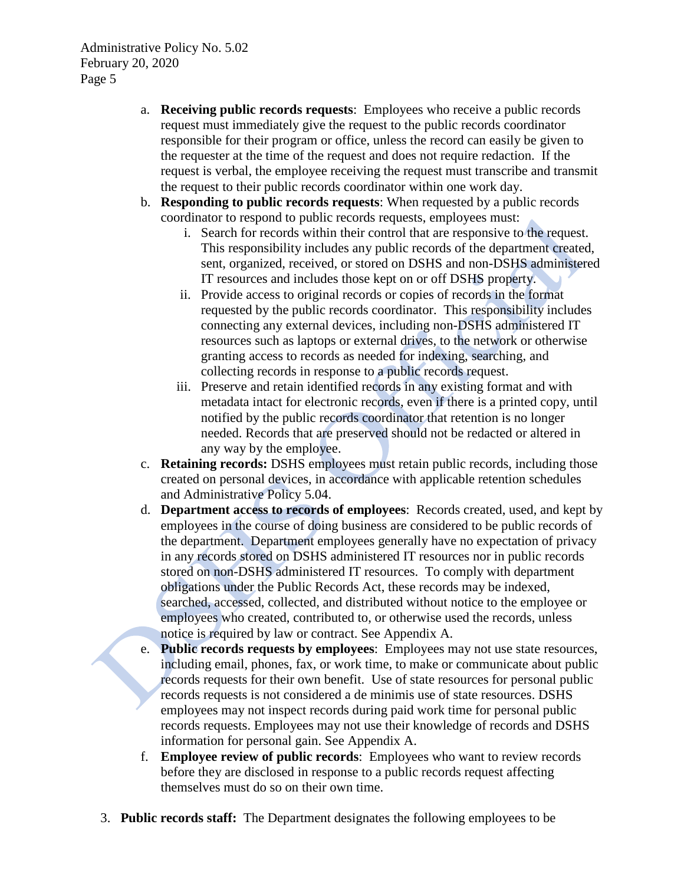- a. **Receiving public records requests**: Employees who receive a public records request must immediately give the request to the public records coordinator responsible for their program or office, unless the record can easily be given to the requester at the time of the request and does not require redaction. If the request is verbal, the employee receiving the request must transcribe and transmit the request to their public records coordinator within one work day.
- b. **Responding to public records requests**: When requested by a public records coordinator to respond to public records requests, employees must:
	- i. Search for records within their control that are responsive to the request. This responsibility includes any public records of the department created, sent, organized, received, or stored on DSHS and non-DSHS administered IT resources and includes those kept on or off DSHS property.
	- ii. Provide access to original records or copies of records in the format requested by the public records coordinator. This responsibility includes connecting any external devices, including non-DSHS administered IT resources such as laptops or external drives, to the network or otherwise granting access to records as needed for indexing, searching, and collecting records in response to a public records request.
	- iii. Preserve and retain identified records in any existing format and with metadata intact for electronic records, even if there is a printed copy, until notified by the public records coordinator that retention is no longer needed. Records that are preserved should not be redacted or altered in any way by the employee.
- c. **Retaining records:** DSHS employees must retain public records, including those created on personal devices, in accordance with applicable retention schedules and Administrative Policy 5.04.
- d. **Department access to records of employees**: Records created, used, and kept by employees in the course of doing business are considered to be public records of the department. Department employees generally have no expectation of privacy in any records stored on DSHS administered IT resources nor in public records stored on non-DSHS administered IT resources. To comply with department obligations under the Public Records Act, these records may be indexed, searched, accessed, collected, and distributed without notice to the employee or employees who created, contributed to, or otherwise used the records, unless notice is required by law or contract. See Appendix A.
- e. **Public records requests by employees**: Employees may not use state resources, including email, phones, fax, or work time, to make or communicate about public records requests for their own benefit. Use of state resources for personal public records requests is not considered a de minimis use of state resources. DSHS employees may not inspect records during paid work time for personal public records requests. Employees may not use their knowledge of records and DSHS information for personal gain. See Appendix A.
- f. **Employee review of public records**: Employees who want to review records before they are disclosed in response to a public records request affecting themselves must do so on their own time.
- 3. **Public records staff:** The Department designates the following employees to be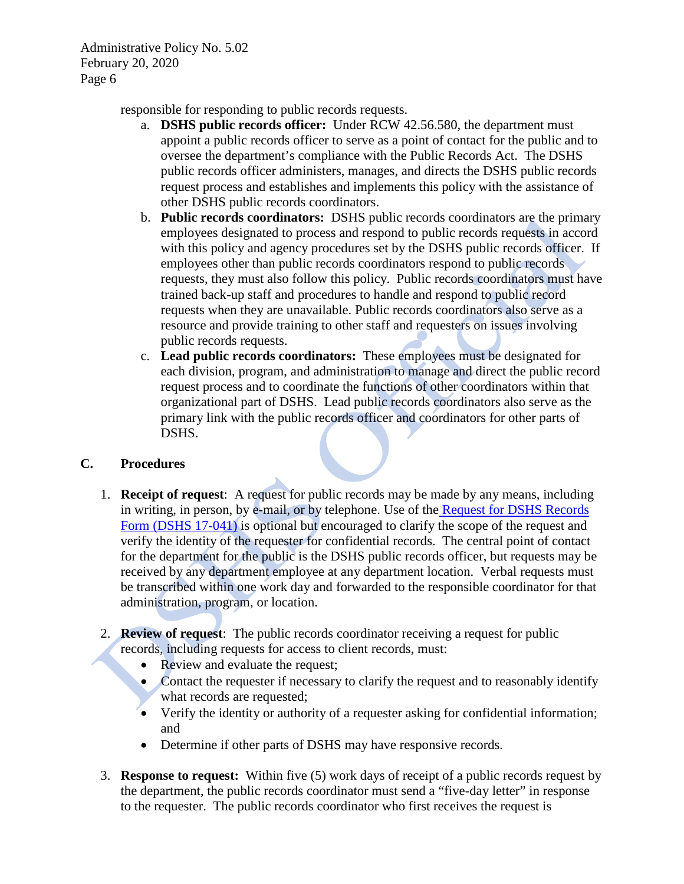responsible for responding to public records requests.

- a. **DSHS public records officer:** Under RCW 42.56.580, the department must appoint a public records officer to serve as a point of contact for the public and to oversee the department's compliance with the Public Records Act. The DSHS public records officer administers, manages, and directs the DSHS public records request process and establishes and implements this policy with the assistance of other DSHS public records coordinators.
- b. **Public records coordinators:** DSHS public records coordinators are the primary employees designated to process and respond to public records requests in accord with this policy and agency procedures set by the DSHS public records officer. If employees other than public records coordinators respond to public records requests, they must also follow this policy. Public records coordinators must have trained back-up staff and procedures to handle and respond to public record requests when they are unavailable. Public records coordinators also serve as a resource and provide training to other staff and requesters on issues involving public records requests.
- c. **Lead public records coordinators:** These employees must be designated for each division, program, and administration to manage and direct the public record request process and to coordinate the functions of other coordinators within that organizational part of DSHS. Lead public records coordinators also serve as the primary link with the public records officer and coordinators for other parts of DSHS.

### **C. Procedures**

- 1. **Receipt of request**: A request for public records may be made by any means, including in writing, in person, by e-mail, or by telephone. Use of the [Request for DSHS Records](http://forms.dshs.wa.lcl/)  [Form \(DSHS 17-041\)](http://forms.dshs.wa.lcl/) is optional but encouraged to clarify the scope of the request and verify the identity of the requester for confidential records. The central point of contact for the department for the public is the DSHS public records officer, but requests may be received by any department employee at any department location. Verbal requests must be transcribed within one work day and forwarded to the responsible coordinator for that administration, program, or location.
- 2. **Review of request**: The public records coordinator receiving a request for public records, including requests for access to client records, must:
	- Review and evaluate the request;
	- Contact the requester if necessary to clarify the request and to reasonably identify what records are requested;
	- Verify the identity or authority of a requester asking for confidential information; and
	- Determine if other parts of DSHS may have responsive records.
- 3. **Response to request:** Within five (5) work days of receipt of a public records request by the department, the public records coordinator must send a "five-day letter" in response to the requester. The public records coordinator who first receives the request is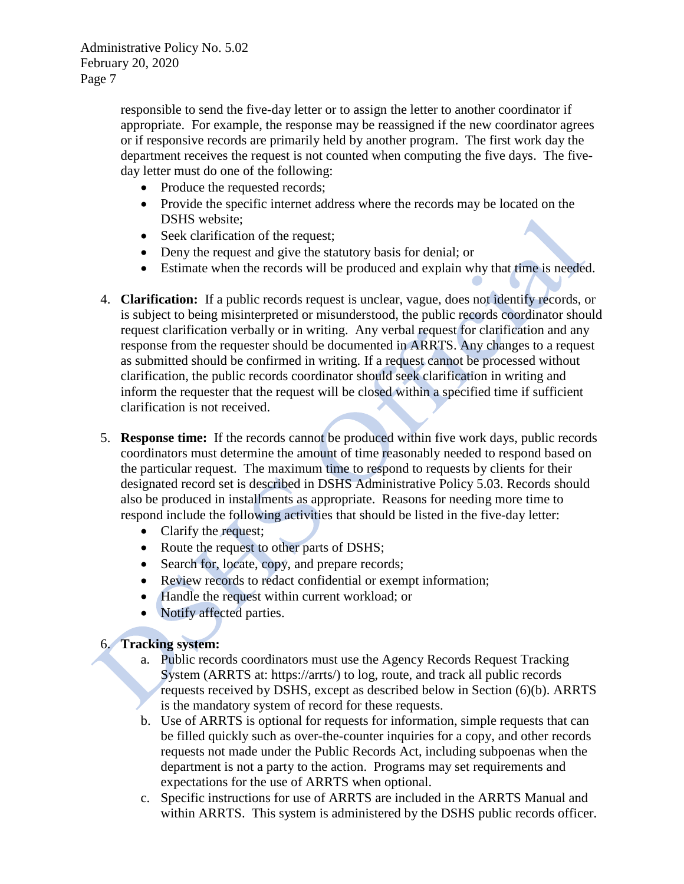responsible to send the five-day letter or to assign the letter to another coordinator if appropriate. For example, the response may be reassigned if the new coordinator agrees or if responsive records are primarily held by another program. The first work day the department receives the request is not counted when computing the five days. The fiveday letter must do one of the following:

- Produce the requested records;
- Provide the specific internet address where the records may be located on the DSHS website;
- Seek clarification of the request;
- Deny the request and give the statutory basis for denial; or
- Estimate when the records will be produced and explain why that time is needed.
- 4. **Clarification:** If a public records request is unclear, vague, does not identify records, or is subject to being misinterpreted or misunderstood, the public records coordinator should request clarification verbally or in writing. Any verbal request for clarification and any response from the requester should be documented in ARRTS. Any changes to a request as submitted should be confirmed in writing. If a request cannot be processed without clarification, the public records coordinator should seek clarification in writing and inform the requester that the request will be closed within a specified time if sufficient clarification is not received.
- 5. **Response time:** If the records cannot be produced within five work days, public records coordinators must determine the amount of time reasonably needed to respond based on the particular request. The maximum time to respond to requests by clients for their designated record set is described in DSHS Administrative Policy 5.03. Records should also be produced in installments as appropriate. Reasons for needing more time to respond include the following activities that should be listed in the five-day letter:
	- Clarify the request;
	- Route the request to other parts of DSHS;
	- Search for, locate, copy, and prepare records;
	- Review records to redact confidential or exempt information;
	- Handle the request within current workload; or
	- Notify affected parties.

### 6. **Tracking system:**

- a. Public records coordinators must use the Agency Records Request Tracking System (ARRTS at: https://arrts/) to log, route, and track all public records requests received by DSHS, except as described below in Section (6)(b). ARRTS is the mandatory system of record for these requests.
- b. Use of ARRTS is optional for requests for information, simple requests that can be filled quickly such as over-the-counter inquiries for a copy, and other records requests not made under the Public Records Act, including subpoenas when the department is not a party to the action. Programs may set requirements and expectations for the use of ARRTS when optional.
- c. Specific instructions for use of ARRTS are included in the ARRTS Manual and within ARRTS. This system is administered by the DSHS public records officer.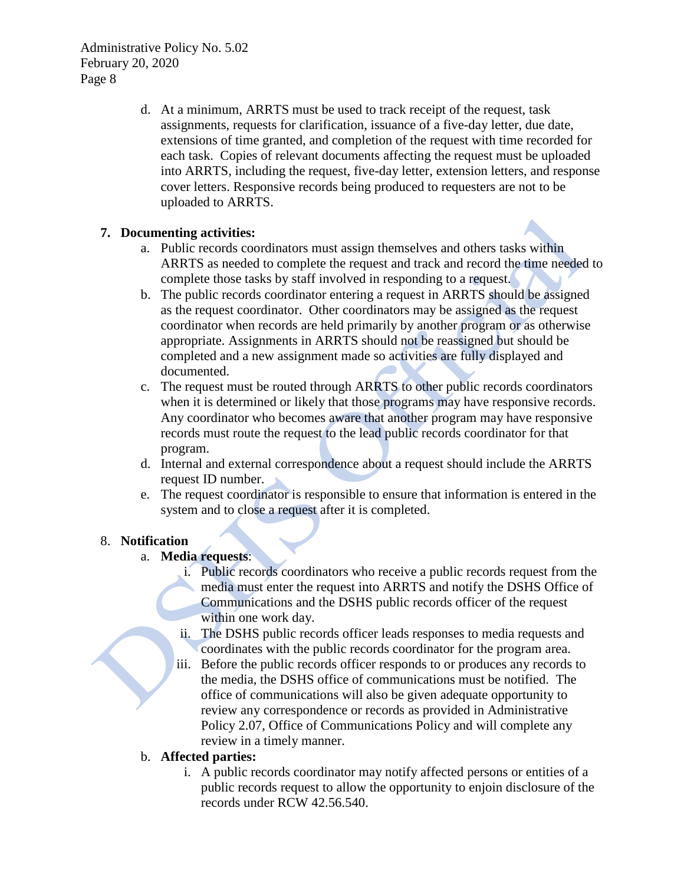> d. At a minimum, ARRTS must be used to track receipt of the request, task assignments, requests for clarification, issuance of a five-day letter, due date, extensions of time granted, and completion of the request with time recorded for each task. Copies of relevant documents affecting the request must be uploaded into ARRTS, including the request, five-day letter, extension letters, and response cover letters. Responsive records being produced to requesters are not to be uploaded to ARRTS.

### **7. Documenting activities:**

- a. Public records coordinators must assign themselves and others tasks within ARRTS as needed to complete the request and track and record the time needed to complete those tasks by staff involved in responding to a request.
- b. The public records coordinator entering a request in ARRTS should be assigned as the request coordinator. Other coordinators may be assigned as the request coordinator when records are held primarily by another program or as otherwise appropriate. Assignments in ARRTS should not be reassigned but should be completed and a new assignment made so activities are fully displayed and documented.
- c. The request must be routed through ARRTS to other public records coordinators when it is determined or likely that those programs may have responsive records. Any coordinator who becomes aware that another program may have responsive records must route the request to the lead public records coordinator for that program.
- d. Internal and external correspondence about a request should include the ARRTS request ID number.
- e. The request coordinator is responsible to ensure that information is entered in the system and to close a request after it is completed.

### 8. **Notification**

- a. **Media requests**:
	- i. Public records coordinators who receive a public records request from the media must enter the request into ARRTS and notify the DSHS Office of Communications and the DSHS public records officer of the request within one work day.
	- ii. The DSHS public records officer leads responses to media requests and coordinates with the public records coordinator for the program area.
	- iii. Before the public records officer responds to or produces any records to the media, the DSHS office of communications must be notified. The office of communications will also be given adequate opportunity to review any correspondence or records as provided in Administrative Policy 2.07, Office of Communications Policy and will complete any review in a timely manner.

# b. **Affected parties:**

i. A public records coordinator may notify affected persons or entities of a public records request to allow the opportunity to enjoin disclosure of the records under RCW 42.56.540.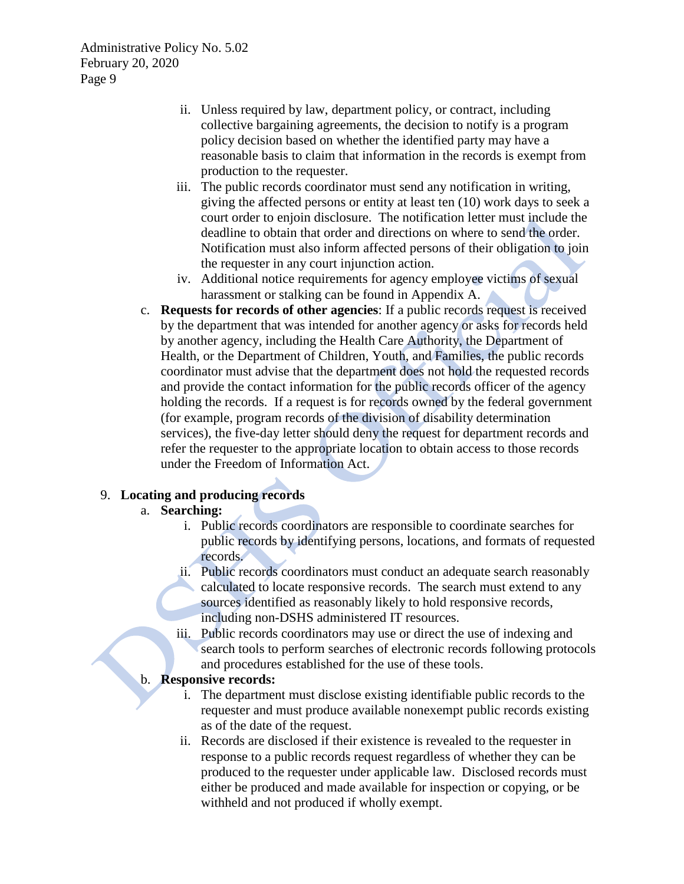- ii. Unless required by law, department policy, or contract, including collective bargaining agreements, the decision to notify is a program policy decision based on whether the identified party may have a reasonable basis to claim that information in the records is exempt from production to the requester.
- iii. The public records coordinator must send any notification in writing, giving the affected persons or entity at least ten (10) work days to seek a court order to enjoin disclosure. The notification letter must include the deadline to obtain that order and directions on where to send the order. Notification must also inform affected persons of their obligation to join the requester in any court injunction action.
- iv. Additional notice requirements for agency employee victims of sexual harassment or stalking can be found in Appendix A.
- c. **Requests for records of other agencies**: If a public records request is received by the department that was intended for another agency or asks for records held by another agency, including the Health Care Authority, the Department of Health, or the Department of Children, Youth, and Families, the public records coordinator must advise that the department does not hold the requested records and provide the contact information for the public records officer of the agency holding the records. If a request is for records owned by the federal government (for example, program records of the division of disability determination services), the five-day letter should deny the request for department records and refer the requester to the appropriate location to obtain access to those records under the Freedom of Information Act.

### 9. **Locating and producing records**

#### a. **Searching:**

- i. Public records coordinators are responsible to coordinate searches for public records by identifying persons, locations, and formats of requested records.
- ii. Public records coordinators must conduct an adequate search reasonably calculated to locate responsive records. The search must extend to any sources identified as reasonably likely to hold responsive records, including non-DSHS administered IT resources.
- iii. Public records coordinators may use or direct the use of indexing and search tools to perform searches of electronic records following protocols and procedures established for the use of these tools.

#### b. **Responsive records:**

- i. The department must disclose existing identifiable public records to the requester and must produce available nonexempt public records existing as of the date of the request.
- ii. Records are disclosed if their existence is revealed to the requester in response to a public records request regardless of whether they can be produced to the requester under applicable law. Disclosed records must either be produced and made available for inspection or copying, or be withheld and not produced if wholly exempt.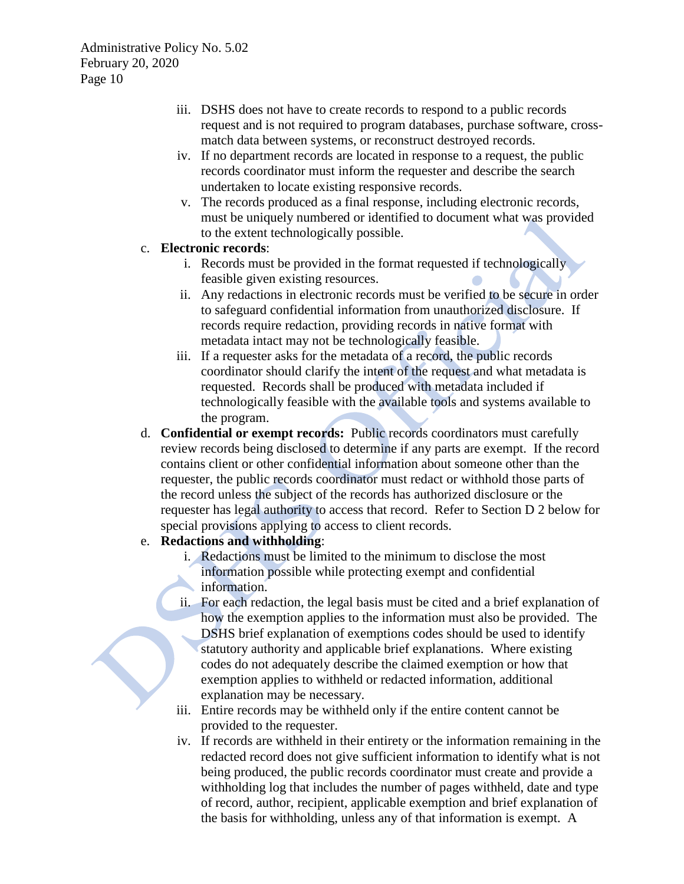- iii. DSHS does not have to create records to respond to a public records request and is not required to program databases, purchase software, crossmatch data between systems, or reconstruct destroyed records.
- iv. If no department records are located in response to a request, the public records coordinator must inform the requester and describe the search undertaken to locate existing responsive records.
- v. The records produced as a final response, including electronic records, must be uniquely numbered or identified to document what was provided to the extent technologically possible.

### c. **Electronic records**:

- i. Records must be provided in the format requested if technologically feasible given existing resources.
- ii. Any redactions in electronic records must be verified to be secure in order to safeguard confidential information from unauthorized disclosure. If records require redaction, providing records in native format with metadata intact may not be technologically feasible.
- iii. If a requester asks for the metadata of a record, the public records coordinator should clarify the intent of the request and what metadata is requested. Records shall be produced with metadata included if technologically feasible with the available tools and systems available to the program.
- d. **Confidential or exempt records:** Public records coordinators must carefully review records being disclosed to determine if any parts are exempt. If the record contains client or other confidential information about someone other than the requester, the public records coordinator must redact or withhold those parts of the record unless the subject of the records has authorized disclosure or the requester has legal authority to access that record. Refer to Section D 2 below for special provisions applying to access to client records.

### e. **Redactions and withholding**:

- i. Redactions must be limited to the minimum to disclose the most information possible while protecting exempt and confidential information.
- ii. For each redaction, the legal basis must be cited and a brief explanation of how the exemption applies to the information must also be provided. The DSHS brief explanation of exemptions codes should be used to identify statutory authority and applicable brief explanations. Where existing codes do not adequately describe the claimed exemption or how that exemption applies to withheld or redacted information, additional explanation may be necessary.
- iii. Entire records may be withheld only if the entire content cannot be provided to the requester.
- iv. If records are withheld in their entirety or the information remaining in the redacted record does not give sufficient information to identify what is not being produced, the public records coordinator must create and provide a withholding log that includes the number of pages withheld, date and type of record, author, recipient, applicable exemption and brief explanation of the basis for withholding, unless any of that information is exempt. A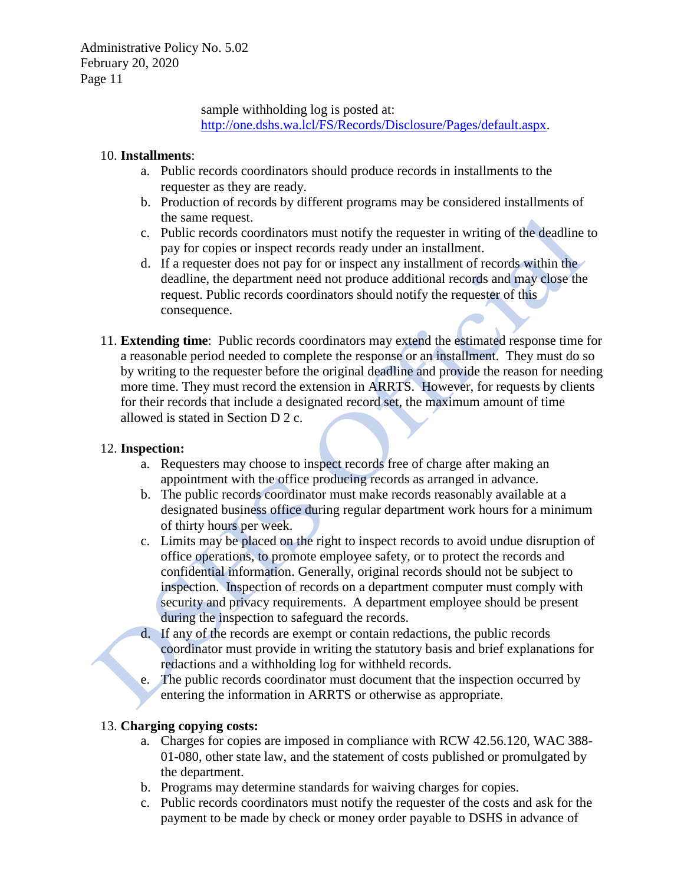> sample withholding log is posted at: [http://one.dshs.wa.lcl/FS/Records/Disclosure/Pages/default.aspx.](http://one.dshs.wa.lcl/FS/Records/Disclosure/Pages/default.aspx)

#### 10. **Installments**:

- a. Public records coordinators should produce records in installments to the requester as they are ready.
- b. Production of records by different programs may be considered installments of the same request.
- c. Public records coordinators must notify the requester in writing of the deadline to pay for copies or inspect records ready under an installment.
- d. If a requester does not pay for or inspect any installment of records within the deadline, the department need not produce additional records and may close the request. Public records coordinators should notify the requester of this consequence.
- 11. **Extending time**: Public records coordinators may extend the estimated response time for a reasonable period needed to complete the response or an installment. They must do so by writing to the requester before the original deadline and provide the reason for needing more time. They must record the extension in ARRTS. However, for requests by clients for their records that include a designated record set, the maximum amount of time allowed is stated in Section D 2 c.

#### 12. **Inspection:**

- a. Requesters may choose to inspect records free of charge after making an appointment with the office producing records as arranged in advance.
- b. The public records coordinator must make records reasonably available at a designated business office during regular department work hours for a minimum of thirty hours per week.
- c. Limits may be placed on the right to inspect records to avoid undue disruption of office operations, to promote employee safety, or to protect the records and confidential information. Generally, original records should not be subject to inspection. Inspection of records on a department computer must comply with security and privacy requirements. A department employee should be present during the inspection to safeguard the records.
- d. If any of the records are exempt or contain redactions, the public records coordinator must provide in writing the statutory basis and brief explanations for redactions and a withholding log for withheld records.
- e. The public records coordinator must document that the inspection occurred by entering the information in ARRTS or otherwise as appropriate.

### 13. **Charging copying costs:**

- a. Charges for copies are imposed in compliance with RCW 42.56.120, WAC 388- 01-080, other state law, and the statement of costs published or promulgated by the department.
- b. Programs may determine standards for waiving charges for copies.
- c. Public records coordinators must notify the requester of the costs and ask for the payment to be made by check or money order payable to DSHS in advance of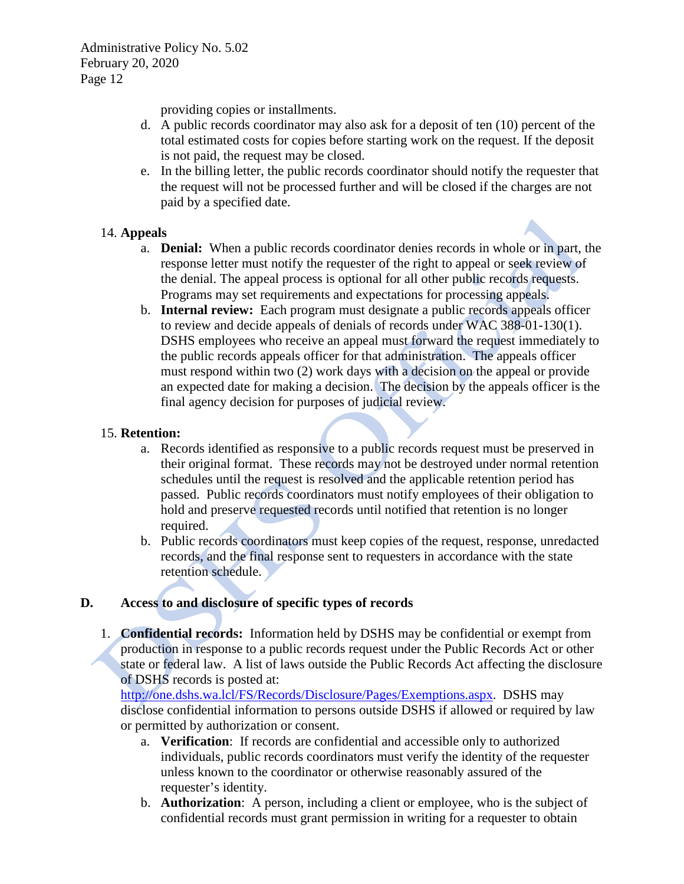providing copies or installments.

- d. A public records coordinator may also ask for a deposit of ten (10) percent of the total estimated costs for copies before starting work on the request. If the deposit is not paid, the request may be closed.
- e. In the billing letter, the public records coordinator should notify the requester that the request will not be processed further and will be closed if the charges are not paid by a specified date.

### 14. **Appeals**

- a. **Denial:** When a public records coordinator denies records in whole or in part, the response letter must notify the requester of the right to appeal or seek review of the denial. The appeal process is optional for all other public records requests. Programs may set requirements and expectations for processing appeals.
- b. **Internal review:** Each program must designate a public records appeals officer to review and decide appeals of denials of records under WAC 388-01-130(1). DSHS employees who receive an appeal must forward the request immediately to the public records appeals officer for that administration. The appeals officer must respond within two (2) work days with a decision on the appeal or provide an expected date for making a decision. The decision by the appeals officer is the final agency decision for purposes of judicial review.

### 15. **Retention:**

- a. Records identified as responsive to a public records request must be preserved in their original format. These records may not be destroyed under normal retention schedules until the request is resolved and the applicable retention period has passed. Public records coordinators must notify employees of their obligation to hold and preserve requested records until notified that retention is no longer required.
- b. Public records coordinators must keep copies of the request, response, unredacted records, and the final response sent to requesters in accordance with the state retention schedule.

### **D. Access to and disclosure of specific types of records**

1. **Confidential records:** Information held by DSHS may be confidential or exempt from production in response to a public records request under the Public Records Act or other state or federal law. A list of laws outside the Public Records Act affecting the disclosure of DSHS records is posted at:

[http://one.dshs.wa.lcl/FS/Records/Disclosure/Pages/Exemptions.aspx.](http://one.dshs.wa.lcl/FS/Records/Disclosure/Pages/Exemptions.aspx) DSHS may disclose confidential information to persons outside DSHS if allowed or required by law or permitted by authorization or consent.

- a. **Verification**: If records are confidential and accessible only to authorized individuals, public records coordinators must verify the identity of the requester unless known to the coordinator or otherwise reasonably assured of the requester's identity.
- b. **Authorization**: A person, including a client or employee, who is the subject of confidential records must grant permission in writing for a requester to obtain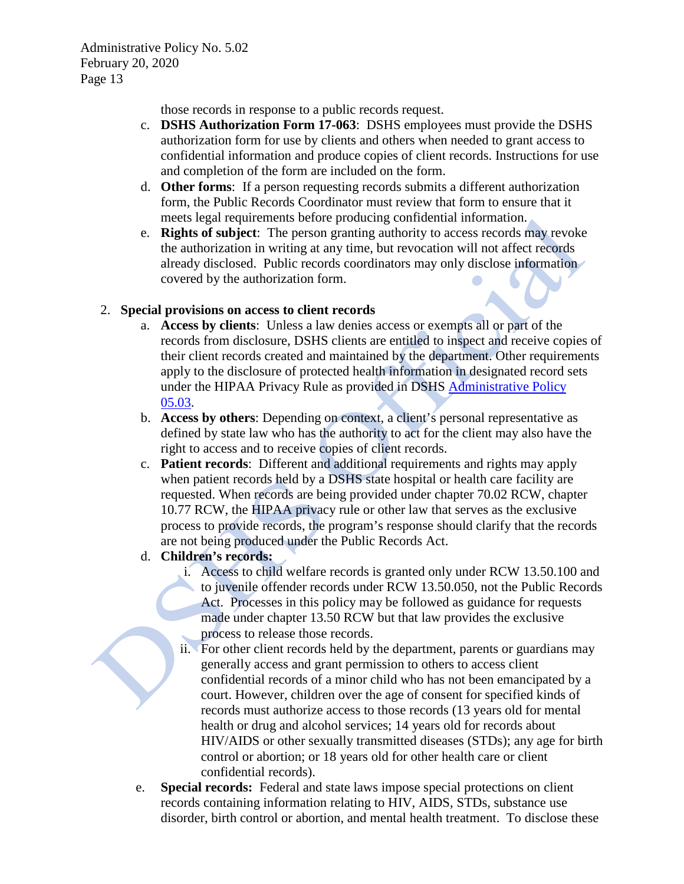those records in response to a public records request.

- c. **DSHS Authorization Form 17-063**: DSHS employees must provide the DSHS authorization form for use by clients and others when needed to grant access to confidential information and produce copies of client records. Instructions for use and completion of the form are included on the form.
- d. **Other forms**: If a person requesting records submits a different authorization form, the Public Records Coordinator must review that form to ensure that it meets legal requirements before producing confidential information.
- e. **Rights of subject**: The person granting authority to access records may revoke the authorization in writing at any time, but revocation will not affect records already disclosed. Public records coordinators may only disclose information covered by the authorization form.

### 2. **Special provisions on access to client records**

- a. **Access by clients**: Unless a law denies access or exempts all or part of the records from disclosure, DSHS clients are entitled to inspect and receive copies of their client records created and maintained by the department. Other requirements apply to the disclosure of protected health information in designated record sets under the HIPAA Privacy Rule as provided in DSHS [Administrative Policy](http://one.dshs.wa.lcl/Policies/Administrative/DSHS-AP-05-03.pdf)  [05.03.](http://one.dshs.wa.lcl/Policies/Administrative/DSHS-AP-05-03.pdf)
- b. **Access by others**: Depending on context, a client's personal representative as defined by state law who has the authority to act for the client may also have the right to access and to receive copies of client records.
- c. **Patient records**: Different and additional requirements and rights may apply when patient records held by a DSHS state hospital or health care facility are requested. When records are being provided under chapter 70.02 RCW, chapter 10.77 RCW, the HIPAA privacy rule or other law that serves as the exclusive process to provide records, the program's response should clarify that the records are not being produced under the Public Records Act.
- d. **Children's records:** 
	- i. Access to child welfare records is granted only under RCW 13.50.100 and to juvenile offender records under RCW 13.50.050, not the Public Records Act. Processes in this policy may be followed as guidance for requests made under chapter 13.50 RCW but that law provides the exclusive process to release those records.
	- ii. For other client records held by the department, parents or guardians may generally access and grant permission to others to access client confidential records of a minor child who has not been emancipated by a court. However, children over the age of consent for specified kinds of records must authorize access to those records (13 years old for mental health or drug and alcohol services; 14 years old for records about HIV/AIDS or other sexually transmitted diseases (STDs); any age for birth control or abortion; or 18 years old for other health care or client confidential records).
- e. **Special records:** Federal and state laws impose special protections on client records containing information relating to HIV, AIDS, STDs, substance use disorder, birth control or abortion, and mental health treatment. To disclose these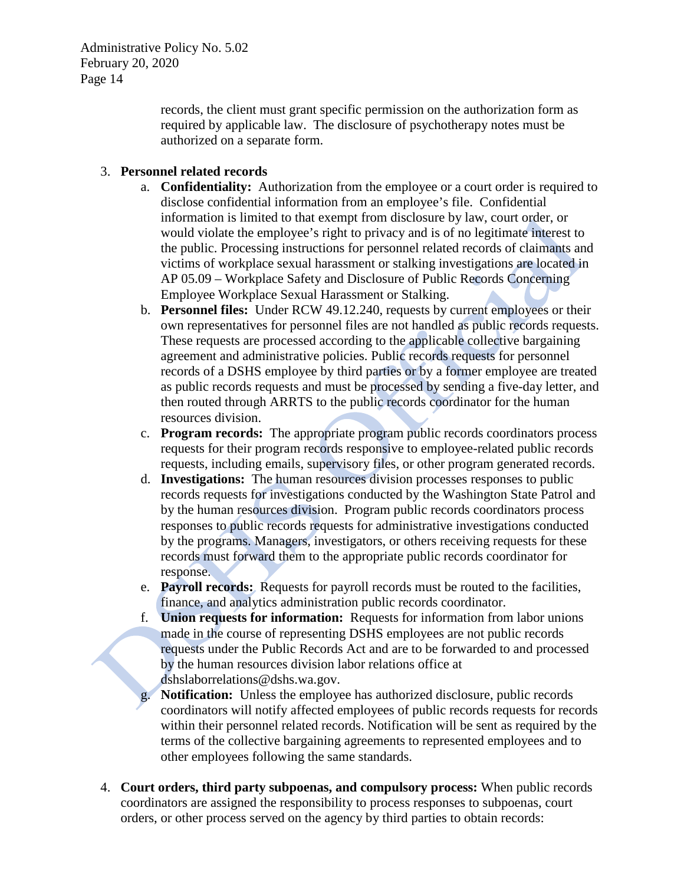> records, the client must grant specific permission on the authorization form as required by applicable law. The disclosure of psychotherapy notes must be authorized on a separate form.

### 3. **Personnel related records**

- a. **Confidentiality:** Authorization from the employee or a court order is required to disclose confidential information from an employee's file. Confidential information is limited to that exempt from disclosure by law, court order, or would violate the employee's right to privacy and is of no legitimate interest to the public. Processing instructions for personnel related records of claimants and victims of workplace sexual harassment or stalking investigations are located in AP 05.09 – Workplace Safety and Disclosure of Public Records Concerning Employee Workplace Sexual Harassment or Stalking.
- b. **Personnel files:** Under RCW 49.12.240, requests by current employees or their own representatives for personnel files are not handled as public records requests. These requests are processed according to the applicable collective bargaining agreement and administrative policies. Public records requests for personnel records of a DSHS employee by third parties or by a former employee are treated as public records requests and must be processed by sending a five-day letter, and then routed through ARRTS to the public records coordinator for the human resources division.
- c. **Program records:** The appropriate program public records coordinators process requests for their program records responsive to employee-related public records requests, including emails, supervisory files, or other program generated records.
- d. **Investigations:** The human resources division processes responses to public records requests for investigations conducted by the Washington State Patrol and by the human resources division. Program public records coordinators process responses to public records requests for administrative investigations conducted by the programs. Managers, investigators, or others receiving requests for these records must forward them to the appropriate public records coordinator for response.
- e. **Payroll records:** Requests for payroll records must be routed to the facilities, finance, and analytics administration public records coordinator.
- f. **Union requests for information:** Requests for information from labor unions made in the course of representing DSHS employees are not public records requests under the Public Records Act and are to be forwarded to and processed by the human resources division labor relations office at dshslaborrelations@dshs.wa.gov.
- **Notification:** Unless the employee has authorized disclosure, public records coordinators will notify affected employees of public records requests for records within their personnel related records. Notification will be sent as required by the terms of the collective bargaining agreements to represented employees and to other employees following the same standards.
- 4. **Court orders, third party subpoenas, and compulsory process:** When public records coordinators are assigned the responsibility to process responses to subpoenas, court orders, or other process served on the agency by third parties to obtain records: